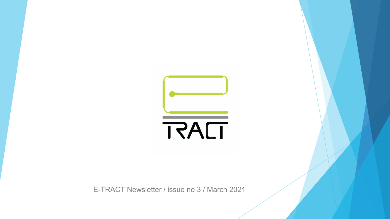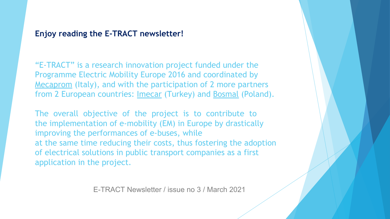# **Enjoy reading the E-TRACT newsletter!**

"E-TRACT" is a research innovation project funded under the Programme Electric Mobility Europe 2016 and coordinated by Mecaprom (Italy), and with the participation of 2 more partners from 2 European countries: Imecar (Turkey) and Bosmal (Poland).

The overall objective of the project is to contribute to the implementation of e-mobility (EM) in Europe by drastically improving the performances of e-buses, while at the same time reducing their costs, thus fostering the adoption of electrical solutions in public transport companies as a first application in the project.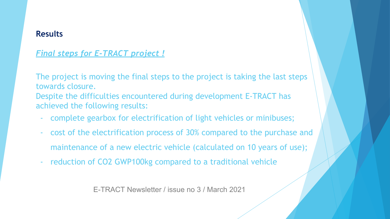## **Results**

# *Final steps for E-TRACT project !*

The project is moving the final steps to the project is taking the last steps towards closure. Despite the difficulties encountered during development E-TRACT has achieved the following results:

- complete gearbox for electrification of light vehicles or minibuses;
- cost of the electrification process of 30% compared to the purchase and maintenance of a new electric vehicle (calculated on 10 years of use);
- reduction of CO2 GWP100kg compared to a traditional vehicle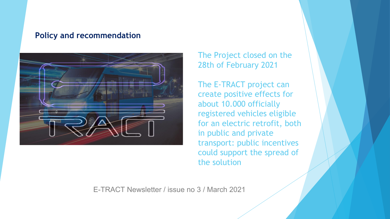#### **Policy and recommendation**



# The Project closed on the 28th of February 2021

The E-TRACT project can create positive effects for about 10.000 officially registered vehicles eligible for an electric retrofit, both in public and private transport: public incentives could support the spread of the solution